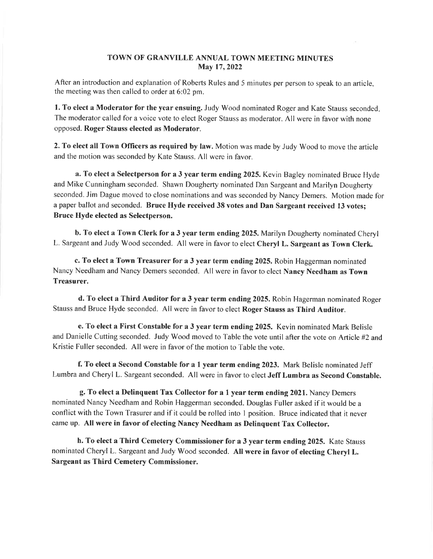## TOWN OF GRANVILLE ANNUAL TOWN MEETING MINUTES May 17, 2022

After an introduction and explanation of Roberts Rules and 5 minutes per person to speak to an article, the meeting was then called to order at 6:02 pm.

1. To elect a Moderator for the year ensuing. Judy Wood nominated Roger and Kate Stauss seconded. The moderator called for a voice vote to elect Roger Stauss as moderator. All were in favor with none opposed. Roger Stauss elected as Moderator.

2. To elect all Town Officers as required by law. Motion was made by Judy Wood to move the article and the motion was seconded by Kate Stauss. All were in favor.

a. To elect a Selectperson for a 3 year term ending 2025. Kevin Bagley nominated Bruce Hyde and Mike Cunningham seconded. Shawn Dougherty nominated Dan Sargeant and Marilyn Dougherty seconded. Jim Dague moved to close nominations and was seconded by Nancy Demers. Motion made for a paper ballot and seconded. Bruce Hyde received 38 votes and Dan Sargeant received 13 votes; Bruce Hyde elected as Selectperson.

b. To elect a Town Clerk for a 3 year term ending 2025. Marilyn Dougherty nominated Cheryl L. Sargeant and Judy Wood seconded. All were in favor to elect Cheryl L. Sargeant as Town Clerk.

c. To elect a Town Treasurer for a 3 year term ending 2025. Robin Haggerman nominated Nancy Needham and Nancy Demers seconded. All were in favor to elect Nancy Needham as Town Treasurer.

d. To elect a Third Auditor for a 3 year term ending 2025. Robin Hagerman nominated Roger Stauss and Bruce Hyde seconded. All were in favor to elect Roger Stauss as Third Auditor.

e. To elect a First Constable for a 3 year term ending 2025. Kevin nominated Mark Belisle and Danielle Cutting seconded. Judy Wood moved to Table the vote until after the vote on Article #2 and Kristie Fuller seconded. All were in favor of the motion to Table the vote.

f. To elect a Second Constable for a I year term ending 2023. Mark Belisle nominated Jeff Lumbra and Cheryl L. Sargeant seconded. All were in favor to elect Jeff Lumbra as Second Constable.

g. To elect a Delinquent Tax Collector for a I year term ending202l. Nancy Demers nominated Nancy Needham and Robin Haggerman seconded. Douglas Fuller asked if it would be a conflict with the Town Trasurer and if it could be rolled into I position. Bruce indicated that it never came up. All were in favor of electing Nancy Needham as Delinquent Tax Collector.

h. To elect a Third Cemetery Commissioner for a 3 year term ending 2025. Kate Stauss nominated Cheryl L. Sargeant and Judy Wood seconded. All were in favor of electing Cheryl L. Sargeant as Third Cemetery Commissioner.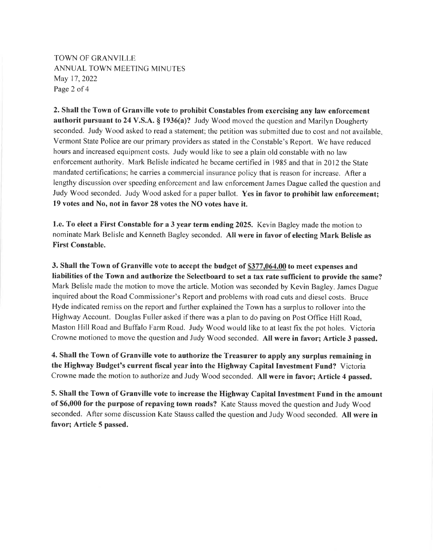TOWN OF GRANVILLE ANNUAL TOWN MEETING MINUTES May 17,2022 Page 2 of 4

2. Shall the Town of Granville vote to prohibit Constables from exercising any law enforcement authorit pursuant to 24 V.S.A. \$ 1936(a)? Judy Wood moved the question and Marilyn Dougherty seconded. Judy Wood asked to read a statement; the petition was submitted due to cost and not available. Vermont State Police are our primary providers as stated in the Constable's Report. We have reduced hours and increased equipment costs. Judy would like to see a plain old constable with no law enforcement authority. Mark Belisle indicated he became certified in 1985 and that in 2012 the State mandated certifications; he carries a commercial insurance policy that is reason for increase. After a lengthy discussion over speeding enforcement and law enforcement James Dague called the question and Judy Wood seconded. Judy Wood asked for a paper ballot. Yes in favor to prohibit law enforcement: 19 votes and No, not in favor 28 votes the NO votes have it.

1.e. To elect a First Constable for a 3 year term ending 2025. Kevin Bagley made the motion to nominate Mark Belisle and Kenneth Bagley seconded. All were in favor of electing Mark Belisle as First Constable.

3. Shall the Town of Granville vote to accept the budget of \$377,064.00 to meet expenses and liabilities of the Town and authorize the Selectboard to set a tax rate sufficient to provide the same? Mark Belisle made the motion to move the article. Motion was seconded by Kevin Bagley. James Dague inquired about the Road Commissioner's Report and problems with road cuts and diesel costs. Bruce Hyde indicated remiss on the report and further explained the Town has a surplus to rollover into the Highway Account. Douglas Fuller asked if there was a plan to do paving on Post Office Hill Road, Maston Hill Road and Buffalo Farm Road. Judy Wood would like to at least fix the pot holes. Victoria Crowne motioned to move the question and Judy Wood seconded. All were in favor; Article 3 passed.

4. Shall the Town of Granville vote to authorize the Treasurer to apply any surplus remaining in the Highway Budget's current fiscal year into the Highway Capital Investment Fund? Victoria Crowne made the motion to authorize and Judy Wood seconded. All were in favor; Article 4 passed.

5. Shall the Town of Granville vote to increase the Highway Capital Investment Fund in the amount of \$6,000 for the purpose of repaving town roads? Kate Stauss moved the question and Judy Wood seconded. After some discussion Kate Stauss called the question and Judy Wood seconded. All were in favor; Article 5 passed.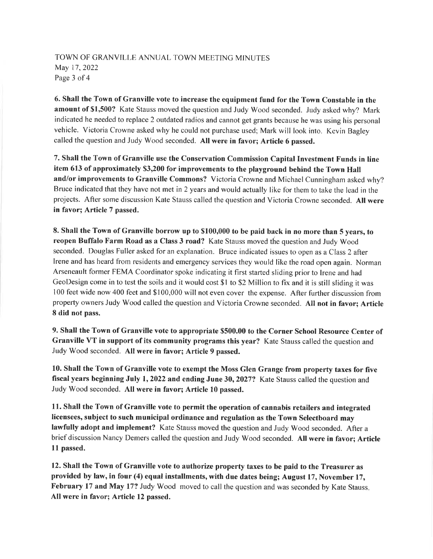## TOWN OF GRANVILLE ANNUAL TOWN MEETING MINUTES May 17,2022 Page 3 of 4

6. Shall the Town of Granville vote to increase the equipment fund for the Town Constable in the amount of \$1,500? Kate Stauss moved the question and Judy Wood seconded. Judy asked why? Mark indicated he needed to replace 2 outdated radios and cannot get grants because he was using his personal vehicle. Victoria Crowne asked why he could not purchase used; Mark will look into. Kevin Bagley called the question and Judy wood seconded. All were in favor; Article 6 passed.

7. Shall the Town of Granville use the Conservation Commission Capital Investment Funds in line item 613 of approximately \$3,200 for improvements to the playground behind the Town Hall and/or improvements to Granville Commons? Victoria Crowne and Michael Cunningham asked why? Bruce indicated that they have not met in 2 years and would actually like for them to take the lead in the projects. After some discussion Kate Stauss called the question and Victoria Crowne seconded. All were in favor; Article 7 passed.

8. Shall the Town of Granville borrow up to \$100,000 to be paid back in no more than 5 years, to reopen Buffalo Farm Road as a Class 3 road? Kate Stauss moved the question and Judy Wood seconded. Douglas Fuller asked for an explanation. Bruce indicated issues to open as a Class 2 after Irene and has heard from residents and emergency services they would like the road open again. Norman Arseneault former FEMA Coordinator spoke indicating it first started sliding prior to Irene and had GeoDesign come in to test the soils and it would cost \$l to \$2 Million to fix and it is still sliding it was 100 feet wide now 400 feet and \$ 100,000 will not even cover the expense. After further discussion from property owners Judy Wood called the question and Victoria Crowne seconded. All not in favor; Article 8 did not pass.

9. Shall the Town of Granville vote to appropriate \$500.00 to the Corner School Resource Center of Granville VT in support of its community programs this year? Kate Stauss called the question and Judy Wood seconded. All were in favor; Article 9 passed.

10. Shall the Town of Granville vote to exempt the Moss Glen Grange from property taxes for five fiscal years beginning July 1, 2022 and ending June 30, 2027? Kate Stauss called the question and Judy Wood seconded. All were in favor; Article 10 passed.

11. Shall the Town of Granville vote to permit the operation of cannabis retailers and integrated licensees, subject to such municipal ordinance and regulation as the Town Selectboard may lawfully adopt and implement? Kate Stauss moved the question and Judy Wood seconded. After <sup>a</sup> brief discussion Nancy Demers called the question and Judy Wood seconded. All were in favor; Article l1 passed.

12. Shall the Town of Granville vote to authorize property taxes to be paid to the Treasurer as provided by law, in four (4) equal installments, with due dates being; August 17, November 17, February 17 and May 17? Judy Wood moved to call the question and was seconded by Kate Stauss. All were in favor; Article 12 passed.